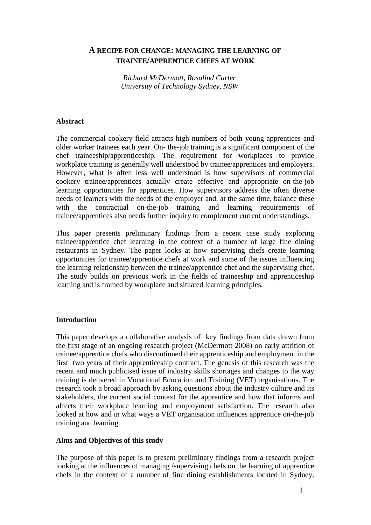# **A RECIPE FOR CHANGE: MANAGING THE LEARNING OF TRAINEE/APPRENTICE CHEFS AT WORK**

*Richard McDermott, Rosalind Carter University of Technology Sydney, NSW* 

#### **Abstract**

The commercial cookery field attracts high numbers of both young apprentices and older worker trainees each year. On- the-job training is a significant component of the chef traineeship/apprenticeship. The requirement for workplaces to provide workplace training is generally well understood by trainee/apprentices and employers. However, what is often less well understood is how supervisors of commercial cookery trainee/apprentices actually create effective and appropriate on-the-job learning opportunities for apprentices. How supervisors address the often diverse needs of learners with the needs of the employer and, at the same time, balance these with the contractual on-the-job training and learning requirements of trainee/apprentices also needs further inquiry to complement current understandings.

This paper presents preliminary findings from a recent case study exploring trainee/apprentice chef learning in the context of a number of large fine dining restaurants in Sydney. The paper looks at how supervising chefs create learning opportunities for trainee/apprentice chefs at work and some of the issues influencing the learning relationship between the trainee/apprentice chef and the supervising chef. The study builds on previous work in the fields of traineeship and apprenticeship learning and is framed by workplace and situated learning principles.

#### **Introduction**

This paper develops a collaborative analysis of key findings from data drawn from the first stage of an ongoing research project (McDermott 2008) on early attrition of trainee/apprentice chefs who discontinued their apprenticeship and employment in the first two years of their apprenticeship contract. The genesis of this research was the recent and much publicised issue of industry skills shortages and changes to the way training is delivered in Vocational Education and Training (VET) organisations. The research took a broad approach by asking questions about the industry culture and its stakeholders, the current social context for the apprentice and how that informs and affects their workplace learning and employment satisfaction. The research also looked at how and in what ways a VET organisation influences apprentice on-the-job training and learning.

#### **Aims and Objectives of this study**

The purpose of this paper is to present preliminary findings from a research project looking at the influences of managing /supervising chefs on the learning of apprentice chefs in the context of a number of fine dining establishments located in Sydney,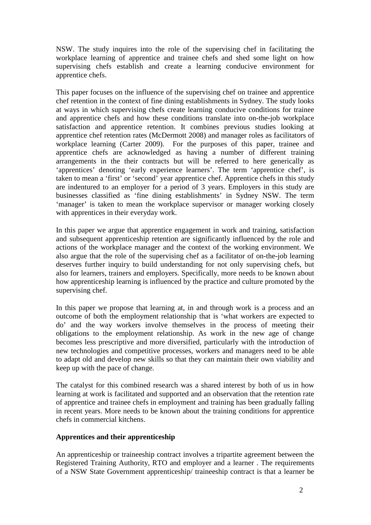NSW. The study inquires into the role of the supervising chef in facilitating the workplace learning of apprentice and trainee chefs and shed some light on how supervising chefs establish and create a learning conducive environment for apprentice chefs.

This paper focuses on the influence of the supervising chef on trainee and apprentice chef retention in the context of fine dining establishments in Sydney. The study looks at ways in which supervising chefs create learning conducive conditions for trainee and apprentice chefs and how these conditions translate into on-the-job workplace satisfaction and apprentice retention. It combines previous studies looking at apprentice chef retention rates (McDermott 2008) and manager roles as facilitators of workplace learning (Carter 2009). For the purposes of this paper, trainee and apprentice chefs are acknowledged as having a number of different training arrangements in the their contracts but will be referred to here generically as 'apprentices' denoting 'early experience learners'. The term 'apprentice chef', is taken to mean a 'first' or 'second' year apprentice chef. Apprentice chefs in this study are indentured to an employer for a period of 3 years. Employers in this study are businesses classified as 'fine dining establishments' in Sydney NSW. The term 'manager' is taken to mean the workplace supervisor or manager working closely with apprentices in their everyday work.

In this paper we argue that apprentice engagement in work and training, satisfaction and subsequent apprenticeship retention are significantly influenced by the role and actions of the workplace manager and the context of the working environment. We also argue that the role of the supervising chef as a facilitator of on-the-job learning deserves further inquiry to build understanding for not only supervising chefs, but also for learners, trainers and employers. Specifically, more needs to be known about how apprenticeship learning is influenced by the practice and culture promoted by the supervising chef.

In this paper we propose that learning at, in and through work is a process and an outcome of both the employment relationship that is 'what workers are expected to do' and the way workers involve themselves in the process of meeting their obligations to the employment relationship. As work in the new age of change becomes less prescriptive and more diversified, particularly with the introduction of new technologies and competitive processes, workers and managers need to be able to adapt old and develop new skills so that they can maintain their own viability and keep up with the pace of change.

The catalyst for this combined research was a shared interest by both of us in how learning at work is facilitated and supported and an observation that the retention rate of apprentice and trainee chefs in employment and training has been gradually falling in recent years. More needs to be known about the training conditions for apprentice chefs in commercial kitchens.

# **Apprentices and their apprenticeship**

An apprenticeship or traineeship contract involves a tripartite agreement between the Registered Training Authority, RTO and employer and a learner . The requirements of a NSW State Government apprenticeship/ traineeship contract is that a learner be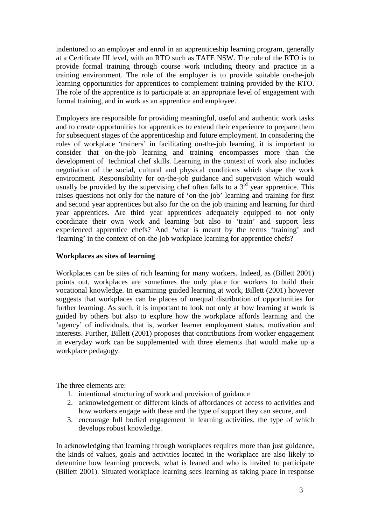indentured to an employer and enrol in an apprenticeship learning program, generally at a Certificate III level, with an RTO such as TAFE NSW. The role of the RTO is to provide formal training through course work including theory and practice in a training environment. The role of the employer is to provide suitable on-the-job learning opportunities for apprentices to complement training provided by the RTO. The role of the apprentice is to participate at an appropriate level of engagement with formal training, and in work as an apprentice and employee.

Employers are responsible for providing meaningful, useful and authentic work tasks and to create opportunities for apprentices to extend their experience to prepare them for subsequent stages of the apprenticeship and future employment. In considering the roles of workplace 'trainers' in facilitating on-the-job learning, it is important to consider that on-the-job learning and training encompasses more than the development of technical chef skills. Learning in the context of work also includes negotiation of the social, cultural and physical conditions which shape the work environment. Responsibility for on-the-job guidance and supervision which would usually be provided by the supervising chef often falls to a  $3<sup>rd</sup>$  year apprentice. This raises questions not only for the nature of 'on-the-job' learning and training for first and second year apprentices but also for the on the job training and learning for third year apprentices. Are third year apprentices adequately equipped to not only coordinate their own work and learning but also to 'train' and support less experienced apprentice chefs? And 'what is meant by the terms 'training' and 'learning' in the context of on-the-job workplace learning for apprentice chefs?

## **Workplaces as sites of learning**

Workplaces can be sites of rich learning for many workers. Indeed, as (Billett 2001) points out, workplaces are sometimes the only place for workers to build their vocational knowledge. In examining guided learning at work, Billett (2001) however suggests that workplaces can be places of unequal distribution of opportunities for further learning. As such, it is important to look not only at how learning at work is guided by others but also to explore how the workplace affords learning and the 'agency' of individuals, that is, worker learner employment status, motivation and interests. Further, Billett (2001) proposes that contributions from worker engagement in everyday work can be supplemented with three elements that would make up a workplace pedagogy.

The three elements are:

- 1. intentional structuring of work and provision of guidance
- 2. acknowledgement of different kinds of affordances of access to activities and how workers engage with these and the type of support they can secure, and
- 3. encourage full bodied engagement in learning activities, the type of which develops robust knowledge.

In acknowledging that learning through workplaces requires more than just guidance, the kinds of values, goals and activities located in the workplace are also likely to determine how learning proceeds, what is leaned and who is invited to participate (Billett 2001). Situated workplace learning sees learning as taking place in response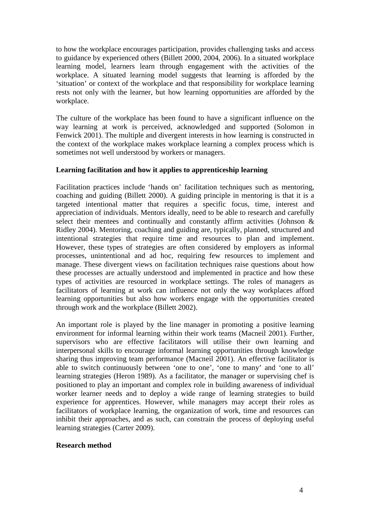to how the workplace encourages participation, provides challenging tasks and access to guidance by experienced others (Billett 2000, 2004, 2006). In a situated workplace learning model, learners learn through engagement with the activities of the workplace. A situated learning model suggests that learning is afforded by the 'situation' or context of the workplace and that responsibility for workplace learning rests not only with the learner, but how learning opportunities are afforded by the workplace.

The culture of the workplace has been found to have a significant influence on the way learning at work is perceived, acknowledged and supported (Solomon in Fenwick 2001). The multiple and divergent interests in how learning is constructed in the context of the workplace makes workplace learning a complex process which is sometimes not well understood by workers or managers.

## **Learning facilitation and how it applies to apprenticeship learning**

Facilitation practices include 'hands on' facilitation techniques such as mentoring, coaching and guiding (Billett 2000). A guiding principle in mentoring is that it is a targeted intentional matter that requires a specific focus, time, interest and appreciation of individuals. Mentors ideally, need to be able to research and carefully select their mentees and continually and constantly affirm activities (Johnson & Ridley 2004). Mentoring, coaching and guiding are, typically, planned, structured and intentional strategies that require time and resources to plan and implement. However, these types of strategies are often considered by employers as informal processes, unintentional and ad hoc, requiring few resources to implement and manage. These divergent views on facilitation techniques raise questions about how these processes are actually understood and implemented in practice and how these types of activities are resourced in workplace settings. The roles of managers as facilitators of learning at work can influence not only the way workplaces afford learning opportunities but also how workers engage with the opportunities created through work and the workplace (Billett 2002).

An important role is played by the line manager in promoting a positive learning environment for informal learning within their work teams (Macneil 2001). Further, supervisors who are effective facilitators will utilise their own learning and interpersonal skills to encourage informal learning opportunities through knowledge sharing thus improving team performance (Macneil 2001). An effective facilitator is able to switch continuously between 'one to one', 'one to many' and 'one to all' learning strategies (Heron 1989). As a facilitator, the manager or supervising chef is positioned to play an important and complex role in building awareness of individual worker learner needs and to deploy a wide range of learning strategies to build experience for apprentices. However, while managers may accept their roles as facilitators of workplace learning, the organization of work, time and resources can inhibit their approaches, and as such, can constrain the process of deploying useful learning strategies (Carter 2009).

### **Research method**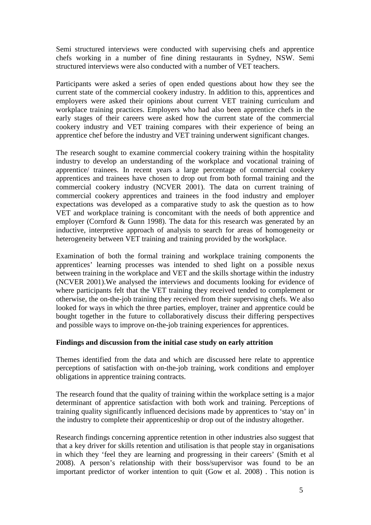Semi structured interviews were conducted with supervising chefs and apprentice chefs working in a number of fine dining restaurants in Sydney, NSW. Semi structured interviews were also conducted with a number of VET teachers.

Participants were asked a series of open ended questions about how they see the current state of the commercial cookery industry. In addition to this, apprentices and employers were asked their opinions about current VET training curriculum and workplace training practices. Employers who had also been apprentice chefs in the early stages of their careers were asked how the current state of the commercial cookery industry and VET training compares with their experience of being an apprentice chef before the industry and VET training underwent significant changes.

The research sought to examine commercial cookery training within the hospitality industry to develop an understanding of the workplace and vocational training of apprentice/ trainees. In recent years a large percentage of commercial cookery apprentices and trainees have chosen to drop out from both formal training and the commercial cookery industry (NCVER 2001). The data on current training of commercial cookery apprentices and trainees in the food industry and employer expectations was developed as a comparative study to ask the question as to how VET and workplace training is concomitant with the needs of both apprentice and employer (Cornford & Gunn 1998). The data for this research was generated by an inductive, interpretive approach of analysis to search for areas of homogeneity or heterogeneity between VET training and training provided by the workplace.

Examination of both the formal training and workplace training components the apprentices' learning processes was intended to shed light on a possible nexus between training in the workplace and VET and the skills shortage within the industry (NCVER 2001).We analysed the interviews and documents looking for evidence of where participants felt that the VET training they received tended to complement or otherwise, the on-the-job training they received from their supervising chefs. We also looked for ways in which the three parties, employer, trainer and apprentice could be bought together in the future to collaboratively discuss their differing perspectives and possible ways to improve on-the-job training experiences for apprentices.

### **Findings and discussion from the initial case study on early attrition**

Themes identified from the data and which are discussed here relate to apprentice perceptions of satisfaction with on-the-job training, work conditions and employer obligations in apprentice training contracts.

The research found that the quality of training within the workplace setting is a major determinant of apprentice satisfaction with both work and training. Perceptions of training quality significantly influenced decisions made by apprentices to 'stay on' in the industry to complete their apprenticeship or drop out of the industry altogether.

Research findings concerning apprentice retention in other industries also suggest that that a key driver for skills retention and utilisation is that people stay in organisations in which they 'feel they are learning and progressing in their careers' (Smith et al 2008). A person's relationship with their boss/supervisor was found to be an important predictor of worker intention to quit (Gow et al. 2008) . This notion is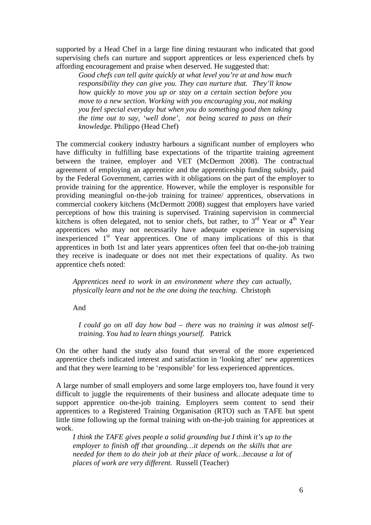supported by a Head Chef in a large fine dining restaurant who indicated that good supervising chefs can nurture and support apprentices or less experienced chefs by affording encouragement and praise when deserved. He suggested that:

*Good chefs can tell quite quickly at what level you're at and how much responsibility they can give you. They can nurture that. They'll know how quickly to move you up or stay on a certain section before you move to a new section. Working with you encouraging you, not making you feel special everyday but when you do something good then taking the time out to say, 'well done', not being scared to pass on their knowledge.* Philippo (Head Chef)

The commercial cookery industry harbours a significant number of employers who have difficulty in fulfilling base expectations of the tripartite training agreement between the trainee, employer and VET (McDermott 2008). The contractual agreement of employing an apprentice and the apprenticeship funding subsidy, paid by the Federal Government, carries with it obligations on the part of the employer to provide training for the apprentice. However, while the employer is responsible for providing meaningful on-the-job training for trainee/ apprentices, observations in commercial cookery kitchens (McDermott 2008) suggest that employers have varied perceptions of how this training is supervised. Training supervision in commercial kitchens is often delegated, not to senior chefs, but rather, to  $3<sup>rd</sup>$  Year or  $4<sup>th</sup>$  Year apprentices who may not necessarily have adequate experience in supervising inexperienced 1<sup>st</sup> Year apprentices. One of many implications of this is that apprentices in both 1st and later years apprentices often feel that on-the-job training they receive is inadequate or does not met their expectations of quality. As two apprentice chefs noted:

*Apprentices need to work in an environment where they can actually, physically learn and not be the one doing the teaching.* Christoph

And

*I could go on all day how bad – there was no training it was almost selftraining. You had to learn things yourself.* Patrick

On the other hand the study also found that several of the more experienced apprentice chefs indicated interest and satisfaction in 'looking after' new apprentices and that they were learning to be 'responsible' for less experienced apprentices.

A large number of small employers and some large employers too, have found it very difficult to juggle the requirements of their business and allocate adequate time to support apprentice on-the-job training. Employers seem content to send their apprentices to a Registered Training Organisation (RTO) such as TAFE but spent little time following up the formal training with on-the-job training for apprentices at work.

*I think the TAFE gives people a solid grounding but I think it's up to the employer to finish off that grounding…it depends on the skills that are needed for them to do their job at their place of work…because a lot of places of work are very different.* Russell (Teacher)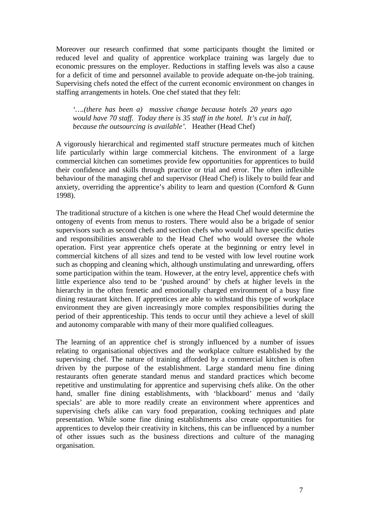Moreover our research confirmed that some participants thought the limited or reduced level and quality of apprentice workplace training was largely due to economic pressures on the employer. Reductions in staffing levels was also a cause for a deficit of time and personnel available to provide adequate on-the-job training. Supervising chefs noted the effect of the current economic environment on changes in staffing arrangements in hotels. One chef stated that they felt:

*'….(there has been a) massive change because hotels 20 years ago would have 70 staff. Today there is 35 staff in the hotel. It's cut in half, because the outsourcing is available'.* Heather (Head Chef)

A vigorously hierarchical and regimented staff structure permeates much of kitchen life particularly within large commercial kitchens. The environment of a large commercial kitchen can sometimes provide few opportunities for apprentices to build their confidence and skills through practice or trial and error. The often inflexible behaviour of the managing chef and supervisor (Head Chef) is likely to build fear and anxiety, overriding the apprentice's ability to learn and question (Cornford & Gunn 1998).

The traditional structure of a kitchen is one where the Head Chef would determine the ontogeny of events from menus to rosters. There would also be a brigade of senior supervisors such as second chefs and section chefs who would all have specific duties and responsibilities answerable to the Head Chef who would oversee the whole operation. First year apprentice chefs operate at the beginning or entry level in commercial kitchens of all sizes and tend to be vested with low level routine work such as chopping and cleaning which, although unstimulating and unrewarding, offers some participation within the team. However, at the entry level, apprentice chefs with little experience also tend to be 'pushed around' by chefs at higher levels in the hierarchy in the often frenetic and emotionally charged environment of a busy fine dining restaurant kitchen. If apprentices are able to withstand this type of workplace environment they are given increasingly more complex responsibilities during the period of their apprenticeship. This tends to occur until they achieve a level of skill and autonomy comparable with many of their more qualified colleagues.

The learning of an apprentice chef is strongly influenced by a number of issues relating to organisational objectives and the workplace culture established by the supervising chef. The nature of training afforded by a commercial kitchen is often driven by the purpose of the establishment. Large standard menu fine dining restaurants often generate standard menus and standard practices which become repetitive and unstimulating for apprentice and supervising chefs alike. On the other hand, smaller fine dining establishments, with 'blackboard' menus and 'daily specials' are able to more readily create an environment where apprentices and supervising chefs alike can vary food preparation, cooking techniques and plate presentation. While some fine dining establishments also create opportunities for apprentices to develop their creativity in kitchens, this can be influenced by a number of other issues such as the business directions and culture of the managing organisation.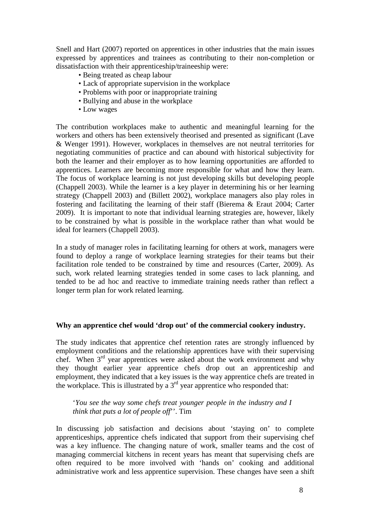Snell and Hart (2007) reported on apprentices in other industries that the main issues expressed by apprentices and trainees as contributing to their non-completion or dissatisfaction with their apprenticeship/traineeship were:

- Being treated as cheap labour
- Lack of appropriate supervision in the workplace
- Problems with poor or inappropriate training
- Bullying and abuse in the workplace
- Low wages

The contribution workplaces make to authentic and meaningful learning for the workers and others has been extensively theorised and presented as significant (Lave & Wenger 1991). However, workplaces in themselves are not neutral territories for negotiating communities of practice and can abound with historical subjectivity for both the learner and their employer as to how learning opportunities are afforded to apprentices. Learners are becoming more responsible for what and how they learn. The focus of workplace learning is not just developing skills but developing people (Chappell 2003). While the learner is a key player in determining his or her learning strategy (Chappell 2003) and (Billett 2002), workplace managers also play roles in fostering and facilitating the learning of their staff (Bierema & Eraut 2004; Carter 2009). It is important to note that individual learning strategies are, however, likely to be constrained by what is possible in the workplace rather than what would be ideal for learners (Chappell 2003).

In a study of manager roles in facilitating learning for others at work, managers were found to deploy a range of workplace learning strategies for their teams but their facilitation role tended to be constrained by time and resources (Carter, 2009). As such, work related learning strategies tended in some cases to lack planning, and tended to be ad hoc and reactive to immediate training needs rather than reflect a longer term plan for work related learning.

### **Why an apprentice chef would 'drop out' of the commercial cookery industry.**

The study indicates that apprentice chef retention rates are strongly influenced by employment conditions and the relationship apprentices have with their supervising chef. When 3<sup>rd</sup> year apprentices were asked about the work environment and why they thought earlier year apprentice chefs drop out an apprenticeship and employment, they indicated that a key issues is the way apprentice chefs are treated in the workplace. This is illustrated by a  $3<sup>rd</sup>$  year apprentice who responded that:

 '*You see the way some chefs treat younger people in the industry and I think that puts a lot of people off*''. Tim

In discussing job satisfaction and decisions about 'staying on' to complete apprenticeships, apprentice chefs indicated that support from their supervising chef was a key influence. The changing nature of work, smaller teams and the cost of managing commercial kitchens in recent years has meant that supervising chefs are often required to be more involved with 'hands on' cooking and additional administrative work and less apprentice supervision. These changes have seen a shift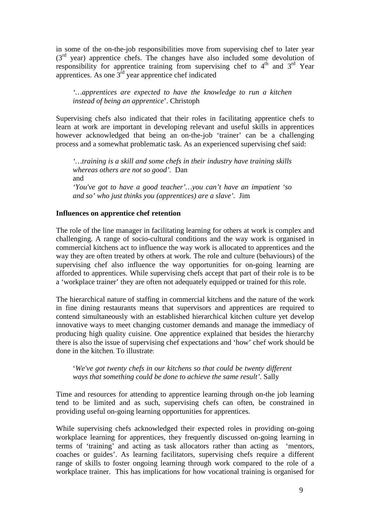in some of the on-the-job responsibilities move from supervising chef to later year  $(3<sup>rd</sup>$  year) apprentice chefs. The changes have also included some devolution of responsibility for apprentice training from supervising chef to  $4<sup>th</sup>$  and  $3<sup>rd</sup>$  Year apprentices. As one 3rd year apprentice chef indicated

*'…apprentices are expected to have the knowledge to run a kitchen instead of being an apprentice*'. Christoph

Supervising chefs also indicated that their roles in facilitating apprentice chefs to learn at work are important in developing relevant and useful skills in apprentices however acknowledged that being an on-the-job 'trainer' can be a challenging process and a somewhat problematic task. As an experienced supervising chef said:

*'…training is a skill and some chefs in their industry have training skills whereas others are not so good'.* Dan and *'You've got to have a good teacher'…you can't have an impatient 'so and so' who just thinks you (apprentices) are a slave'.* Jim

#### **Influences on apprentice chef retention**

The role of the line manager in facilitating learning for others at work is complex and challenging. A range of socio-cultural conditions and the way work is organised in commercial kitchens act to influence the way work is allocated to apprentices and the way they are often treated by others at work. The role and culture (behaviours) of the supervising chef also influence the way opportunities for on-going learning are afforded to apprentices. While supervising chefs accept that part of their role is to be a 'workplace trainer' they are often not adequately equipped or trained for this role.

The hierarchical nature of staffing in commercial kitchens and the nature of the work in fine dining restaurants means that supervisors and apprentices are required to contend simultaneously with an established hierarchical kitchen culture yet develop innovative ways to meet changing customer demands and manage the immediacy of producing high quality cuisine. One apprentice explained that besides the hierarchy there is also the issue of supervising chef expectations and 'how' chef work should be done in the kitchen. To illustrate:

'*We've got twenty chefs in our kitchens so that could be twenty different ways that something could be done to achieve the same result'*. Sally

Time and resources for attending to apprentice learning through on-the job learning tend to be limited and as such, supervising chefs can often, be constrained in providing useful on-going learning opportunities for apprentices.

While supervising chefs acknowledged their expected roles in providing on-going workplace learning for apprentices, they frequently discussed on-going learning in terms of 'training' and acting as task allocators rather than acting as 'mentors, coaches or guides'. As learning facilitators, supervising chefs require a different range of skills to foster ongoing learning through work compared to the role of a workplace trainer. This has implications for how vocational training is organised for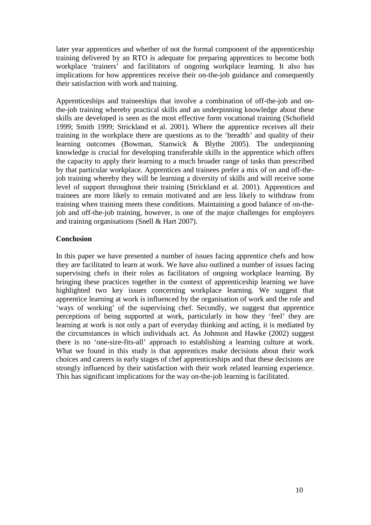later year apprentices and whether of not the formal component of the apprenticeship training delivered by an RTO is adequate for preparing apprentices to become both workplace 'trainers' and facilitators of ongoing workplace learning. It also has implications for how apprentices receive their on-the-job guidance and consequently their satisfaction with work and training.

Apprenticeships and traineeships that involve a combination of off-the-job and onthe-job training whereby practical skills and an underpinning knowledge about these skills are developed is seen as the most effective form vocational training (Schofield 1999; Smith 1999; Strickland et al. 2001). Where the apprentice receives all their training in the workplace there are questions as to the 'breadth' and quality of their learning outcomes (Bowman, Stanwick & Blythe 2005). The underpinning knowledge is crucial for developing transferable skills in the apprentice which offers the capacity to apply their learning to a much broader range of tasks than prescribed by that particular workplace. Apprentices and trainees prefer a mix of on and off-thejob training whereby they will be learning a diversity of skills and will receive some level of support throughout their training (Strickland et al. 2001). Apprentices and trainees are more likely to remain motivated and are less likely to withdraw from training when training meets these conditions. Maintaining a good balance of on-thejob and off-the-job training, however, is one of the major challenges for employers and training organisations (Snell & Hart 2007).

# **Conclusion**

In this paper we have presented a number of issues facing apprentice chefs and how they are facilitated to learn at work. We have also outlined a number of issues facing supervising chefs in their roles as facilitators of ongoing workplace learning. By bringing these practices together in the context of apprenticeship learning we have highlighted two key issues concerning workplace learning. We suggest that apprentice learning at work is influenced by the organisation of work and the role and 'ways of working' of the supervising chef. Secondly, we suggest that apprentice perceptions of being supported at work, particularly in how they 'feel' they are learning at work is not only a part of everyday thinking and acting, it is mediated by the circumstances in which individuals act. As Johnson and Hawke (2002) suggest there is no 'one-size-fits-all' approach to establishing a learning culture at work. What we found in this study is that apprentices make decisions about their work choices and careers in early stages of chef apprenticeships and that these decisions are strongly influenced by their satisfaction with their work related learning experience. This has significant implications for the way on-the-job learning is facilitated.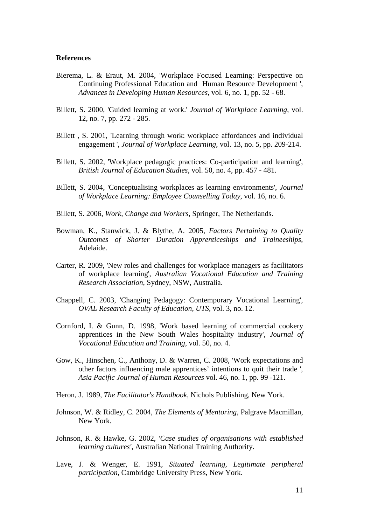#### **References**

- Bierema, L. & Eraut, M. 2004, 'Workplace Focused Learning: Perspective on Continuing Professional Education and Human Resource Development ', *Advances in Developing Human Resources*, vol. 6, no. 1, pp. 52 - 68.
- Billett, S. 2000, 'Guided learning at work.' *Journal of Workplace Learning*, vol. 12, no. 7, pp. 272 - 285.
- Billett , S. 2001, 'Learning through work: workplace affordances and individual engagement ', *Journal of Workplace Learning*, vol. 13, no. 5, pp. 209-214.
- Billett, S. 2002, 'Workplace pedagogic practices: Co-participation and learning', *British Journal of Education Studies*, vol. 50, no. 4, pp. 457 - 481.
- Billett, S. 2004, 'Conceptualising workplaces as learning environments', *Journal of Workplace Learning: Employee Counselling Today*, vol. 16, no. 6.
- Billett, S. 2006, *Work, Change and Workers*, Springer, The Netherlands.
- Bowman, K., Stanwick, J. & Blythe, A. 2005, *Factors Pertaining to Quality Outcomes of Shorter Duration Apprenticeships and Traineeships*, Adelaide.
- Carter, R. 2009, 'New roles and challenges for workplace managers as facilitators of workplace learning', *Australian Vocational Education and Training Research Association*, Sydney, NSW, Australia.
- Chappell, C. 2003, 'Changing Pedagogy: Contemporary Vocational Learning', *OVAL Research Faculty of Education, UTS*, vol. 3, no. 12.
- Cornford, I. & Gunn, D. 1998, 'Work based learning of commercial cookery apprentices in the New South Wales hospitality industry', *Journal of Vocational Education and Training*, vol. 50, no. 4.
- Gow, K., Hinschen, C., Anthony, D. & Warren, C. 2008, 'Work expectations and other factors influencing male apprentices' intentions to quit their trade ', *Asia Pacific Journal of Human Resources* vol. 46, no. 1, pp. 99 -121.
- Heron, J. 1989, *The Facilitator's Handbook*, Nichols Publishing, New York.
- Johnson, W. & Ridley, C. 2004, *The Elements of Mentoring*, Palgrave Macmillan, New York.
- Johnson, R. & Hawke, G. 2002, *'Case studies of organisations with established learning cultures'*, Australian National Training Authority.
- Lave, J. & Wenger, E. 1991, *Situated learning, Legitimate peripheral participation*, Cambridge University Press, New York.